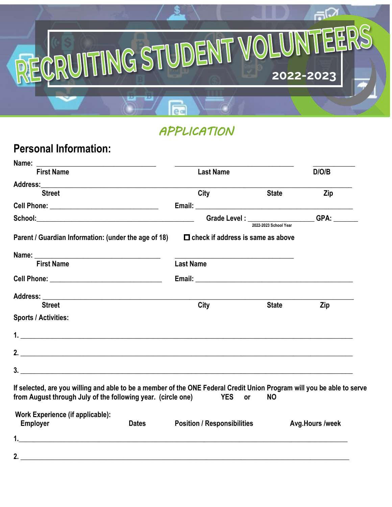

# *APPLICATION*

#### **Personal Information:**

| <b>First Name</b>                                                                                                                                                                                                                                                                                                                                                     | <b>Last Name</b>                                                        |                                                         |              | D/O/B                  |
|-----------------------------------------------------------------------------------------------------------------------------------------------------------------------------------------------------------------------------------------------------------------------------------------------------------------------------------------------------------------------|-------------------------------------------------------------------------|---------------------------------------------------------|--------------|------------------------|
|                                                                                                                                                                                                                                                                                                                                                                       |                                                                         |                                                         |              |                        |
| <b>Street</b>                                                                                                                                                                                                                                                                                                                                                         | City                                                                    |                                                         | <b>State</b> | Zip                    |
| Cell Phone: __________________________________                                                                                                                                                                                                                                                                                                                        |                                                                         |                                                         |              |                        |
|                                                                                                                                                                                                                                                                                                                                                                       | Grade Level : ____________________GPA: _______<br>2022-2023 School Year |                                                         |              |                        |
| Parent / Guardian Information: (under the age of 18)                                                                                                                                                                                                                                                                                                                  | $\Box$ check if address is same as above                                |                                                         |              |                        |
|                                                                                                                                                                                                                                                                                                                                                                       |                                                                         | <u> 1980 - Johann Barbara, martin amerikan basar da</u> |              |                        |
| <b>First Name</b>                                                                                                                                                                                                                                                                                                                                                     | <b>Last Name</b>                                                        |                                                         |              |                        |
|                                                                                                                                                                                                                                                                                                                                                                       |                                                                         |                                                         |              |                        |
|                                                                                                                                                                                                                                                                                                                                                                       |                                                                         |                                                         |              |                        |
| <b>Street</b>                                                                                                                                                                                                                                                                                                                                                         | City                                                                    |                                                         | <b>State</b> | Zip                    |
| <b>Sports / Activities:</b>                                                                                                                                                                                                                                                                                                                                           |                                                                         |                                                         |              |                        |
| <b>1.</b> $\frac{1}{2}$ <b>1.</b> $\frac{1}{2}$ <b>1.</b> $\frac{1}{2}$ <b>1.</b> $\frac{1}{2}$ <b>1.</b> $\frac{1}{2}$ <b>1.</b> $\frac{1}{2}$ <b>1.</b> $\frac{1}{2}$ <b>1.</b> $\frac{1}{2}$ <b>1.</b> $\frac{1}{2}$ <b>1.</b> $\frac{1}{2}$ <b>1.</b> $\frac{1}{2}$ <b>1.</b> $\frac{1}{2}$ <b>1.</b> $\frac{1}{2}$ <b>1.</b> $\frac{1}{2}$ <b>1.</b> $\frac{1}{$ |                                                                         |                                                         |              |                        |
|                                                                                                                                                                                                                                                                                                                                                                       |                                                                         |                                                         |              |                        |
| $3.$ $\overline{\phantom{a}}$                                                                                                                                                                                                                                                                                                                                         |                                                                         |                                                         |              |                        |
| If selected, are you willing and able to be a member of the ONE Federal Credit Union Program will you be able to serve<br>from August through July of the following year. (circle one) YES or                                                                                                                                                                         |                                                                         |                                                         | <b>NO</b>    |                        |
| <b>Work Experience (if applicable):</b><br><b>Employer</b><br><b>Dates</b>                                                                                                                                                                                                                                                                                            | <b>Position / Responsibilities</b>                                      |                                                         |              | <b>Avg.Hours /week</b> |
|                                                                                                                                                                                                                                                                                                                                                                       |                                                                         |                                                         |              |                        |
|                                                                                                                                                                                                                                                                                                                                                                       |                                                                         |                                                         |              |                        |
| 2. $\qquad \qquad$                                                                                                                                                                                                                                                                                                                                                    |                                                                         |                                                         |              |                        |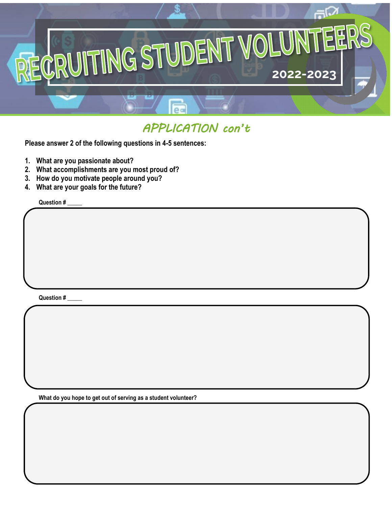

## *APPLICATION con't*

**Please answer 2 of the following questions in 4-5 sentences:**

- **1. What are you passionate about?**
- **2. What accomplishments are you most proud of?**
- **3. How do you motivate people around you?**
- **4. What are your goals for the future?**

**Question # \_\_\_\_\_**

**Question # \_\_\_\_\_**

**What do you hope to get out of serving as a student volunteer?**